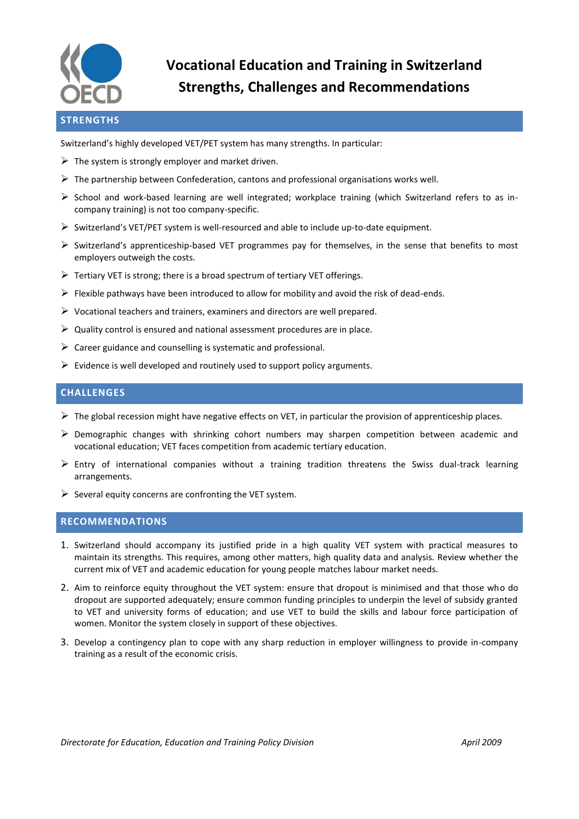

# **Vocational Education and Training in Switzerland Strengths, Challenges and Recommendations**

## **STRENGTHS**

Switzerland's highly developed VET/PET system has many strengths. In particular:

- $\triangleright$  The system is strongly employer and market driven.
- $\triangleright$  The partnership between Confederation, cantons and professional organisations works well.
- $\triangleright$  School and work-based learning are well integrated; workplace training (which Switzerland refers to as incompany training) is not too company-specific.
- $\triangleright$  Switzerland's VET/PET system is well-resourced and able to include up-to-date equipment.
- $\triangleright$  Switzerland's apprenticeship-based VET programmes pay for themselves, in the sense that benefits to most employers outweigh the costs.
- $\triangleright$  Tertiary VET is strong; there is a broad spectrum of tertiary VET offerings.
- $\triangleright$  Flexible pathways have been introduced to allow for mobility and avoid the risk of dead-ends.
- $\triangleright$  Vocational teachers and trainers, examiners and directors are well prepared.
- $\triangleright$  Quality control is ensured and national assessment procedures are in place.
- $\triangleright$  Career guidance and counselling is systematic and professional.
- $\triangleright$  Evidence is well developed and routinely used to support policy arguments.

#### **CHALLENGES**

- $\triangleright$  The global recession might have negative effects on VET, in particular the provision of apprenticeship places.
- $\triangleright$  Demographic changes with shrinking cohort numbers may sharpen competition between academic and vocational education; VET faces competition from academic tertiary education.
- $\triangleright$  Entry of international companies without a training tradition threatens the Swiss dual-track learning arrangements.
- $\triangleright$  Several equity concerns are confronting the VET system.

#### **RECOMMENDATIONS**

- 1. Switzerland should accompany its justified pride in a high quality VET system with practical measures to maintain its strengths. This requires, among other matters, high quality data and analysis. Review whether the current mix of VET and academic education for young people matches labour market needs.
- 2. Aim to reinforce equity throughout the VET system: ensure that dropout is minimised and that those who do dropout are supported adequately; ensure common funding principles to underpin the level of subsidy granted to VET and university forms of education; and use VET to build the skills and labour force participation of women. Monitor the system closely in support of these objectives.
- 3. Develop a contingency plan to cope with any sharp reduction in employer willingness to provide in-company training as a result of the economic crisis.